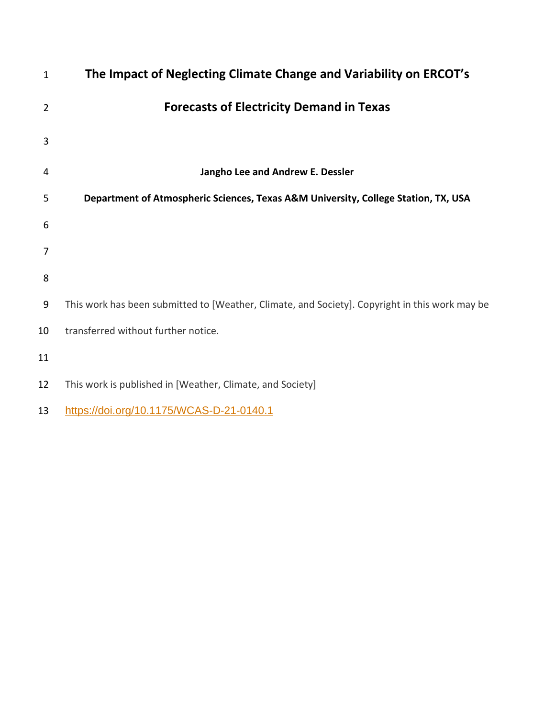| $\mathbf{1}$   | The Impact of Neglecting Climate Change and Variability on ERCOT's                             |
|----------------|------------------------------------------------------------------------------------------------|
| $\overline{2}$ | <b>Forecasts of Electricity Demand in Texas</b>                                                |
| 3              |                                                                                                |
| 4              | Jangho Lee and Andrew E. Dessler                                                               |
| 5              | Department of Atmospheric Sciences, Texas A&M University, College Station, TX, USA             |
| 6              |                                                                                                |
| 7              |                                                                                                |
| 8              |                                                                                                |
| 9              | This work has been submitted to [Weather, Climate, and Society]. Copyright in this work may be |
| 10             | transferred without further notice.                                                            |
| 11             |                                                                                                |
| 12             | This work is published in [Weather, Climate, and Society]                                      |
| 13             | https://doi.org/10.1175/WCAS-D-21-0140.1                                                       |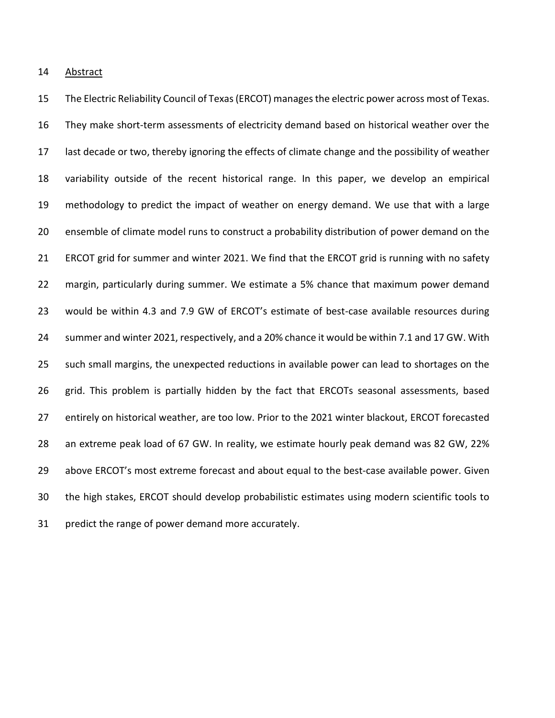Abstract

 The Electric Reliability Council of Texas (ERCOT) manages the electric power across most of Texas. They make short-term assessments of electricity demand based on historical weather over the last decade or two, thereby ignoring the effects of climate change and the possibility of weather variability outside of the recent historical range. In this paper, we develop an empirical methodology to predict the impact of weather on energy demand. We use that with a large ensemble of climate model runs to construct a probability distribution of power demand on the ERCOT grid for summer and winter 2021. We find that the ERCOT grid is running with no safety margin, particularly during summer. We estimate a 5% chance that maximum power demand would be within 4.3 and 7.9 GW of ERCOT's estimate of best-case available resources during summer and winter 2021, respectively, and a 20% chance it would be within 7.1 and 17 GW. With such small margins, the unexpected reductions in available power can lead to shortages on the grid. This problem is partially hidden by the fact that ERCOTs seasonal assessments, based entirely on historical weather, are too low. Prior to the 2021 winter blackout, ERCOT forecasted an extreme peak load of 67 GW. In reality, we estimate hourly peak demand was 82 GW, 22% above ERCOT's most extreme forecast and about equal to the best-case available power. Given the high stakes, ERCOT should develop probabilistic estimates using modern scientific tools to predict the range of power demand more accurately.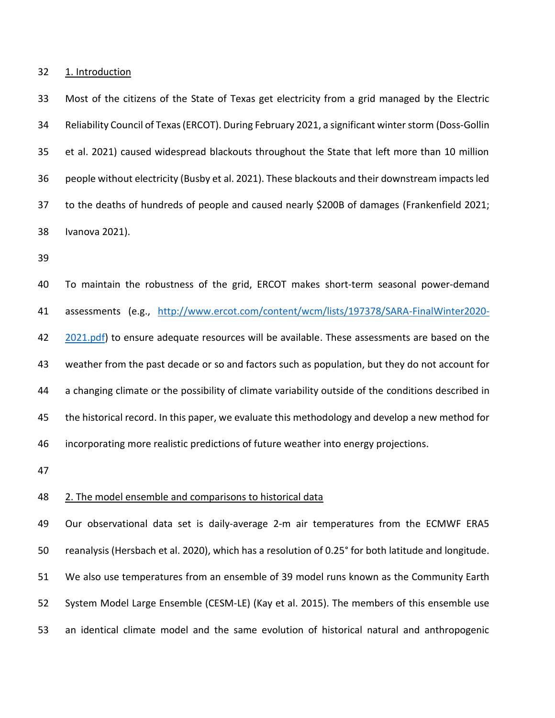1. Introduction

 Most of the citizens of the State of Texas get electricity from a grid managed by the Electric Reliability Council of Texas (ERCOT). During February 2021, a significant winter storm (Doss-Gollin et al. 2021) caused widespread blackouts throughout the State that left more than 10 million people without electricity (Busby et al. 2021). These blackouts and their downstream impacts led to the deaths of hundreds of people and caused nearly \$200B of damages (Frankenfield 2021; Ivanova 2021).

 To maintain the robustness of the grid, ERCOT makes short-term seasonal power-demand assessments (e.g., [http://www.ercot.com/content/wcm/lists/197378/SARA-FinalWinter2020-](http://www.ercot.com/content/wcm/lists/197378/SARA-FinalWinter2020-2021.pdf) [2021.pdf\)](http://www.ercot.com/content/wcm/lists/197378/SARA-FinalWinter2020-2021.pdf) to ensure adequate resources will be available. These assessments are based on the weather from the past decade or so and factors such as population, but they do not account for a changing climate or the possibility of climate variability outside of the conditions described in the historical record. In this paper, we evaluate this methodology and develop a new method for incorporating more realistic predictions of future weather into energy projections.

#### 2. The model ensemble and comparisons to historical data

 Our observational data set is daily-average 2-m air temperatures from the ECMWF ERA5 reanalysis (Hersbach et al. 2020), which has a resolution of 0.25°for both latitude and longitude. We also use temperatures from an ensemble of 39 model runs known as the Community Earth System Model Large Ensemble (CESM-LE) (Kay et al. 2015). The members of this ensemble use an identical climate model and the same evolution of historical natural and anthropogenic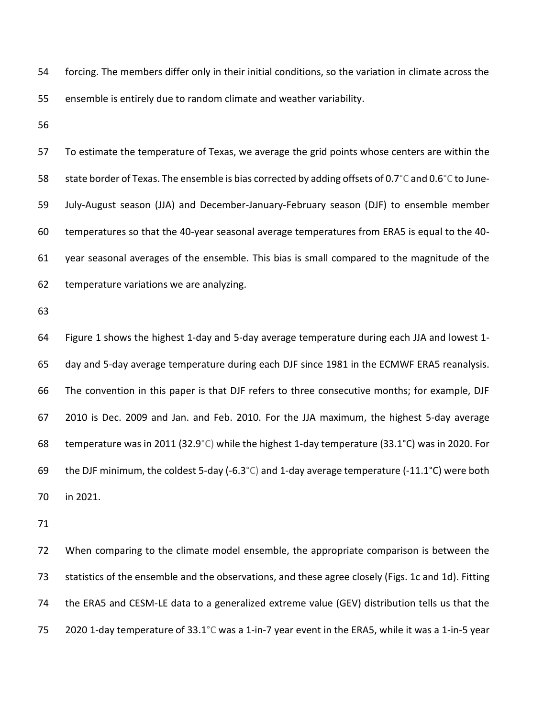forcing. The members differ only in their initial conditions, so the variation in climate across the ensemble is entirely due to random climate and weather variability.

 To estimate the temperature of Texas, we average the grid points whose centers are within the 58 state border of Texas. The ensemble is bias corrected by adding offsets of 0.7°C and 0.6°C to June- July-August season (JJA) and December-January-February season (DJF) to ensemble member temperatures so that the 40-year seasonal average temperatures from ERA5 is equal to the 40- year seasonal averages of the ensemble. This bias is small compared to the magnitude of the temperature variations we are analyzing.

 Figure 1 shows the highest 1-day and 5-day average temperature during each JJA and lowest 1- day and 5-day average temperature during each DJF since 1981 in the ECMWF ERA5 reanalysis. The convention in this paper is that DJF refers to three consecutive months; for example, DJF 2010 is Dec. 2009 and Jan. and Feb. 2010. For the JJA maximum, the highest 5-day average temperature was in 2011 (32.9°C) while the highest 1-day temperature (33.1°C) was in 2020. For 69 the DJF minimum, the coldest 5-day (-6.3 $^{\circ}$ C) and 1-day average temperature (-11.1 $^{\circ}$ C) were both in 2021.

 When comparing to the climate model ensemble, the appropriate comparison is between the statistics of the ensemble and the observations, and these agree closely (Figs. 1c and 1d). Fitting the ERA5 and CESM-LE data to a generalized extreme value (GEV) distribution tells us that the 2020 1-day temperature of 33.1°C was a 1-in-7 year event in the ERA5, while it was a 1-in-5 year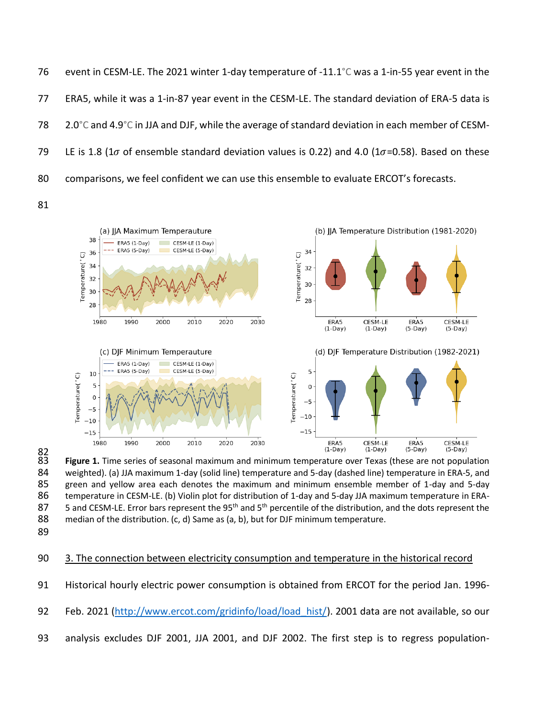event in CESM-LE. The 2021 winter 1-day temperature of -11.1°C was a 1-in-55 year event in the ERA5, while it was a 1-in-87 year event in the CESM-LE. The standard deviation of ERA-5 data is 2.0°C and 4.9°C in JJA and DJF, while the average of standard deviation in each member of CESM-79 LE is 1.8 (1 $\sigma$  of ensemble standard deviation values is 0.22) and 4.0 (1 $\sigma$ =0.58). Based on these comparisons, we feel confident we can use this ensemble to evaluate ERCOT's forecasts.





82<br>83 **Figure 1.** Time series of seasonal maximum and minimum temperature over Texas (these are not population weighted). (a) JJA maximum 1-day (solid line) temperature and 5-day (dashed line) temperature in ERA-5, and green and yellow area each denotes the maximum and minimum ensemble member of 1-day and 5-day temperature in CESM-LE. (b) Violin plot for distribution of 1-day and 5-day JJA maximum temperature in ERA-87 5 and CESM-LE. Error bars represent the 95<sup>th</sup> and 5<sup>th</sup> percentile of the distribution, and the dots represent the 88 median of the distribution. (c, d) Same as (a, b), but for DJF minimum temperature.

# 3. The connection between electricity consumption and temperature in the historical record

Historical hourly electric power consumption is obtained from ERCOT for the period Jan. 1996-

- 92 Feb. 2021 [\(http://www.ercot.com/gridinfo/load/load\\_hist/\)](http://www.ercot.com/gridinfo/load/load_hist/). 2001 data are not available, so our
- analysis excludes DJF 2001, JJA 2001, and DJF 2002. The first step is to regress population-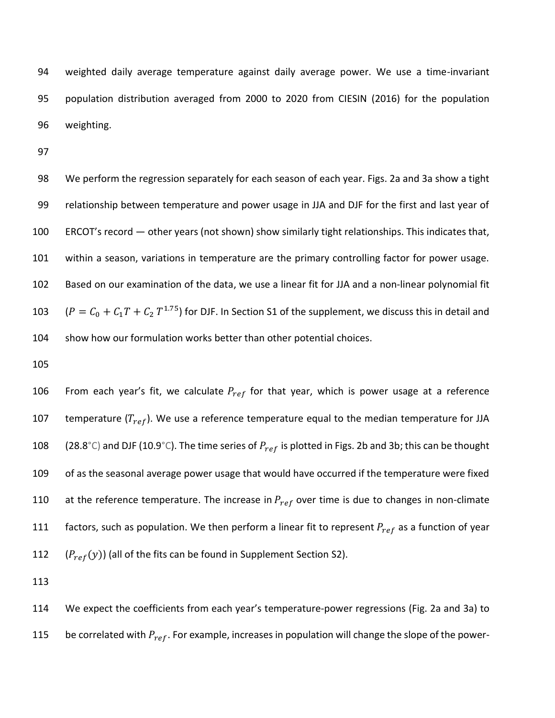weighted daily average temperature against daily average power. We use a time-invariant population distribution averaged from 2000 to 2020 from CIESIN (2016) for the population weighting.

 We perform the regression separately for each season of each year. Figs. 2a and 3a show a tight relationship between temperature and power usage in JJA and DJF for the first and last year of ERCOT's record — other years (not shown) show similarly tight relationships. This indicates that, within a season, variations in temperature are the primary controlling factor for power usage. Based on our examination of the data, we use a linear fit for JJA and a non-linear polynomial fit  $(P = C_0 + C_1 T + C_2 T^{1.75})$  for DJF. In Section S1 of the supplement, we discuss this in detail and show how our formulation works better than other potential choices.

106 From each year's fit, we calculate  $P_{ref}$  for that year, which is power usage at a reference 107 temperature  $(T_{ref})$ . We use a reference temperature equal to the median temperature for JJA 108 (28.8°C) and DJF (10.9°C). The time series of  $P_{ref}$  is plotted in Figs. 2b and 3b; this can be thought of as the seasonal average power usage that would have occurred if the temperature were fixed 110 at the reference temperature. The increase in  $P_{ref}$  over time is due to changes in non-climate 111 factors, such as population. We then perform a linear fit to represent  $P_{ref}$  as a function of year 112  $(P_{ref}(y))$  (all of the fits can be found in Supplement Section S2).

 We expect the coefficients from each year's temperature-power regressions (Fig. 2a and 3a) to 115 be correlated with  $P_{ref}$ . For example, increases in population will change the slope of the power-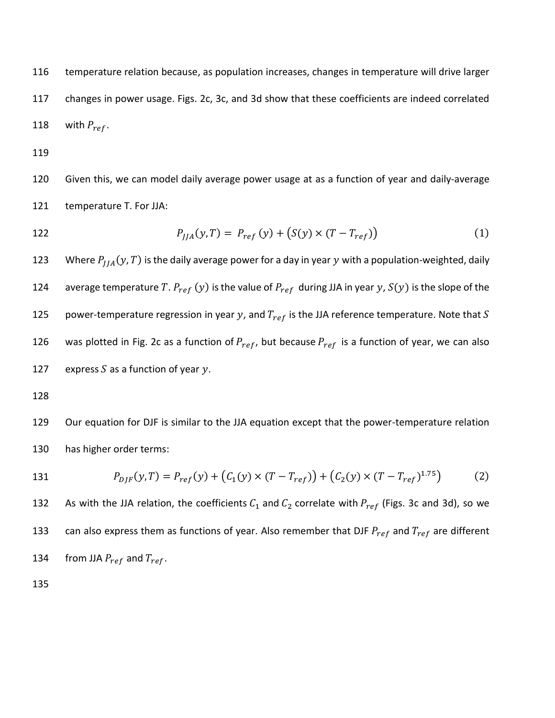116 temperature relation because, as population increases, changes in temperature will drive larger 117 changes in power usage. Figs. 2c, 3c, and 3d show that these coefficients are indeed correlated 118 with  $P_{ref}$ .

119

120 Given this, we can model daily average power usage at as a function of year and daily-average 121 temperature T. For JJA:

122 
$$
P_{JJA}(y,T) = P_{ref}(y) + (S(y) \times (T - T_{ref}))
$$
 (1)

123 Where  $P_{IIA}(y, T)$  is the daily average power for a day in year y with a population-weighted, daily 124 average temperature T.  $P_{ref}(y)$  is the value of  $P_{ref}$  during JJA in year y,  $S(y)$  is the slope of the 125 power-temperature regression in year y, and  $T_{ref}$  is the JJA reference temperature. Note that S 126 was plotted in Fig. 2c as a function of  $P_{ref}$ , but because  $P_{ref}$  is a function of year, we can also 127 express  $S$  as a function of year  $y$ .

128

129 Our equation for DJF is similar to the JJA equation except that the power-temperature relation 130 has higher order terms:

131 
$$
P_{D/F}(y,T) = P_{ref}(y) + (C_1(y) \times (T - T_{ref})) + (C_2(y) \times (T - T_{ref})^{1.75})
$$
 (2)

132 As with the JJA relation, the coefficients  $C_1$  and  $C_2$  correlate with  $P_{ref}$  (Figs. 3c and 3d), so we 133 can also express them as functions of year. Also remember that DJF  $P_{ref}$  and  $T_{ref}$  are different 134 from JJA  $P_{ref}$  and  $T_{ref}$ .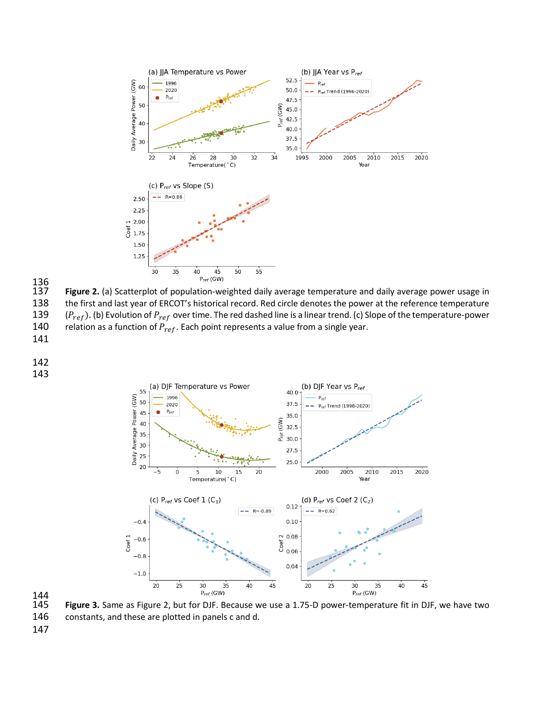



 Figure 2. (a) Scatterplot of population-weighted daily average temperature and daily average power usage in the first and last year of ERCOT's historical record. Red circle denotes the power at the reference temperature 139 ( $P_{ref}$ ). (b) Evolution of  $P_{ref}$  over time. The red dashed line is a linear trend. (c) Slope of the temperature-power 140 relation as a function of  $P_{ref}$ . Each point represents a value from a single year.

- 
- 
- 



Figure 3. Same as Figure 2, but for DJF. Because we use a 1.75-D power-temperature fit in DJF, we have two constants, and these are plotted in panels c and d.

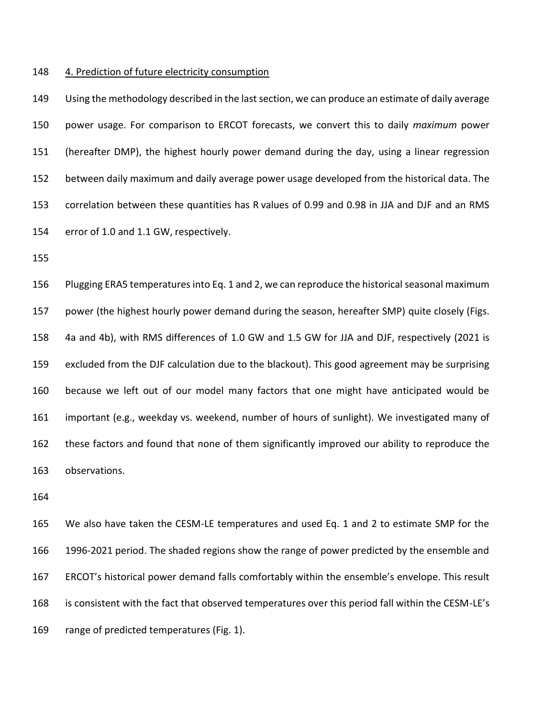#### 4. Prediction of future electricity consumption

 Using the methodology described in the last section, we can produce an estimate of daily average power usage. For comparison to ERCOT forecasts, we convert this to daily *maximum* power (hereafter DMP), the highest hourly power demand during the day, using a linear regression between daily maximum and daily average power usage developed from the historical data. The correlation between these quantities has R values of 0.99 and 0.98 in JJA and DJF and an RMS error of 1.0 and 1.1 GW, respectively.

 Plugging ERA5 temperatures into Eq. 1 and 2, we can reproduce the historical seasonal maximum power (the highest hourly power demand during the season, hereafter SMP) quite closely (Figs. 4a and 4b), with RMS differences of 1.0 GW and 1.5 GW for JJA and DJF, respectively (2021 is excluded from the DJF calculation due to the blackout). This good agreement may be surprising because we left out of our model many factors that one might have anticipated would be important (e.g., weekday vs. weekend, number of hours of sunlight). We investigated many of these factors and found that none of them significantly improved our ability to reproduce the observations.

 We also have taken the CESM-LE temperatures and used Eq. 1 and 2 to estimate SMP for the 1996-2021 period. The shaded regions show the range of power predicted by the ensemble and ERCOT's historical power demand falls comfortably within the ensemble's envelope. This result is consistent with the fact that observed temperatures over this period fall within the CESM-LE's range of predicted temperatures (Fig. 1).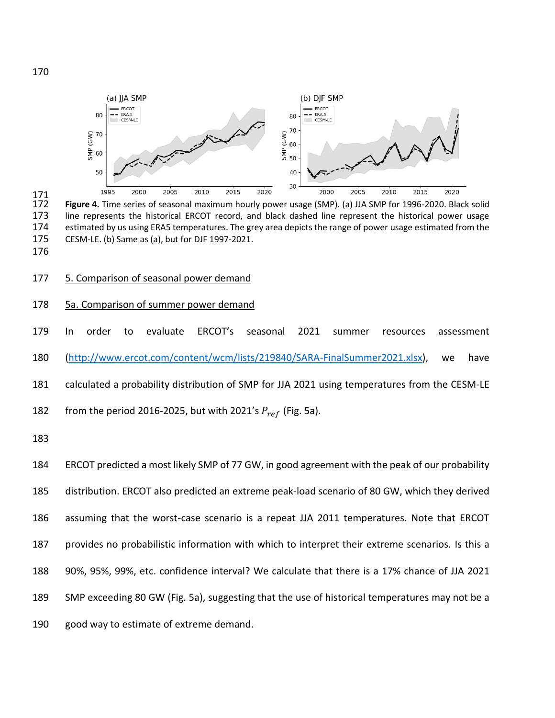

 Figure 4. Time series of seasonal maximum hourly power usage (SMP). (a) JJA SMP for 1996-2020. Black solid line represents the historical ERCOT record, and black dashed line represent the historical power usage 174 estimated by us using ERA5 temperatures. The grey area depicts the range of power usage estimated from the 175 CESM-LE. (b) Same as (a), but for DJF 1997-2021. CESM-LE. (b) Same as (a), but for DJF 1997-2021.

177 5. Comparison of seasonal power demand

# 5a. Comparison of summer power demand

 In order to evaluate ERCOT's seasonal 2021 summer resources assessment [\(http://www.ercot.com/content/wcm/lists/219840/SARA-FinalSummer2021.xlsx\)](http://www.ercot.com/content/wcm/lists/219840/SARA-FinalSummer2021.xlsx), we have calculated a probability distribution of SMP for JJA 2021 using temperatures from the CESM-LE 182 from the period 2016-2025, but with 2021's  $P_{ref}$  (Fig. 5a).

 ERCOT predicted a most likely SMP of 77 GW, in good agreement with the peak of our probability distribution. ERCOT also predicted an extreme peak-load scenario of 80 GW, which they derived assuming that the worst-case scenario is a repeat JJA 2011 temperatures. Note that ERCOT provides no probabilistic information with which to interpret their extreme scenarios. Is this a 90%, 95%, 99%, etc. confidence interval? We calculate that there is a 17% chance of JJA 2021 SMP exceeding 80 GW (Fig. 5a), suggesting that the use of historical temperatures may not be a good way to estimate of extreme demand.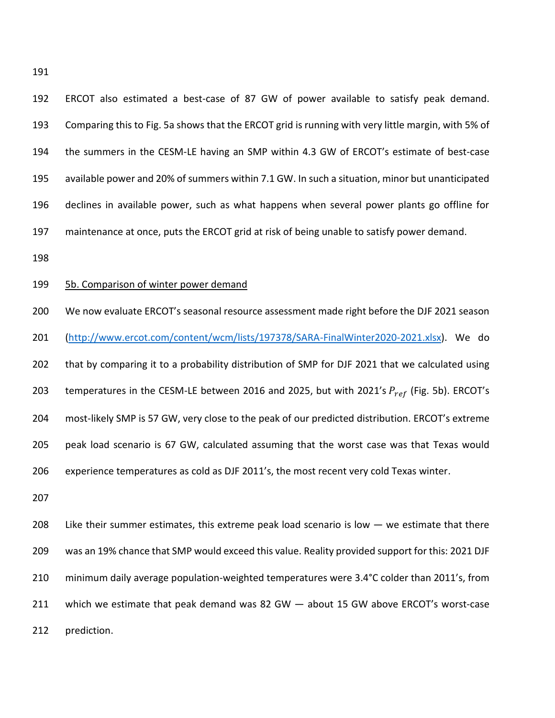ERCOT also estimated a best-case of 87 GW of power available to satisfy peak demand. Comparing this to Fig. 5a shows that the ERCOT grid is running with very little margin, with 5% of the summers in the CESM-LE having an SMP within 4.3 GW of ERCOT's estimate of best-case available power and 20% of summers within 7.1 GW. In such a situation, minor but unanticipated declines in available power, such as what happens when several power plants go offline for maintenance at once, puts the ERCOT grid at risk of being unable to satisfy power demand.

### 5b. Comparison of winter power demand

 We now evaluate ERCOT's seasonal resource assessment made right before the DJF 2021 season [\(http://www.ercot.com/content/wcm/lists/197378/SARA-FinalWinter2020-2021.xlsx\)](http://www.ercot.com/content/wcm/lists/197378/SARA-FinalWinter2020-2021.xlsx). We do that by comparing it to a probability distribution of SMP for DJF 2021 that we calculated using 203 temperatures in the CESM-LE between 2016 and 2025, but with 2021's  $P_{ref}$  (Fig. 5b). ERCOT's most-likely SMP is 57 GW, very close to the peak of our predicted distribution. ERCOT's extreme peak load scenario is 67 GW, calculated assuming that the worst case was that Texas would experience temperatures as cold as DJF 2011's, the most recent very cold Texas winter.

208 Like their summer estimates, this extreme peak load scenario is low  $-$  we estimate that there was an 19% chance that SMP would exceed this value. Reality provided support for this: 2021 DJF minimum daily average population-weighted temperatures were 3.4°C colder than 2011's, from which we estimate that peak demand was 82 GW — about 15 GW above ERCOT's worst-case prediction.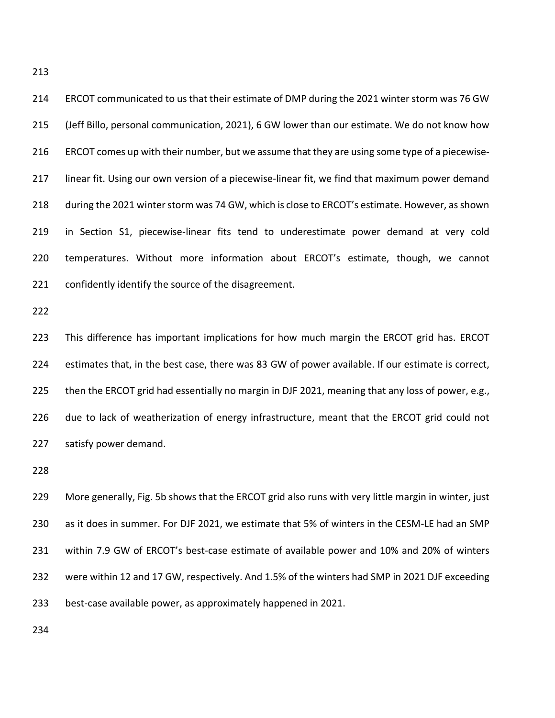ERCOT communicated to us that their estimate of DMP during the 2021 winter storm was 76 GW (Jeff Billo, personal communication, 2021), 6 GW lower than our estimate. We do not know how ERCOT comes up with their number, but we assume that they are using some type of a piecewise- linear fit. Using our own version of a piecewise-linear fit, we find that maximum power demand during the 2021 winter storm was 74 GW, which is close to ERCOT's estimate. However, as shown in Section S1, piecewise-linear fits tend to underestimate power demand at very cold temperatures. Without more information about ERCOT's estimate, though, we cannot confidently identify the source of the disagreement. This difference has important implications for how much margin the ERCOT grid has. ERCOT

 estimates that, in the best case, there was 83 GW of power available. If our estimate is correct, 225 then the ERCOT grid had essentially no margin in DJF 2021, meaning that any loss of power, e.g., due to lack of weatherization of energy infrastructure, meant that the ERCOT grid could not satisfy power demand.

 More generally, Fig. 5b shows that the ERCOT grid also runs with very little margin in winter, just as it does in summer. For DJF 2021, we estimate that 5% of winters in the CESM-LE had an SMP within 7.9 GW of ERCOT's best-case estimate of available power and 10% and 20% of winters were within 12 and 17 GW, respectively. And 1.5% of the winters had SMP in 2021 DJF exceeding best-case available power, as approximately happened in 2021.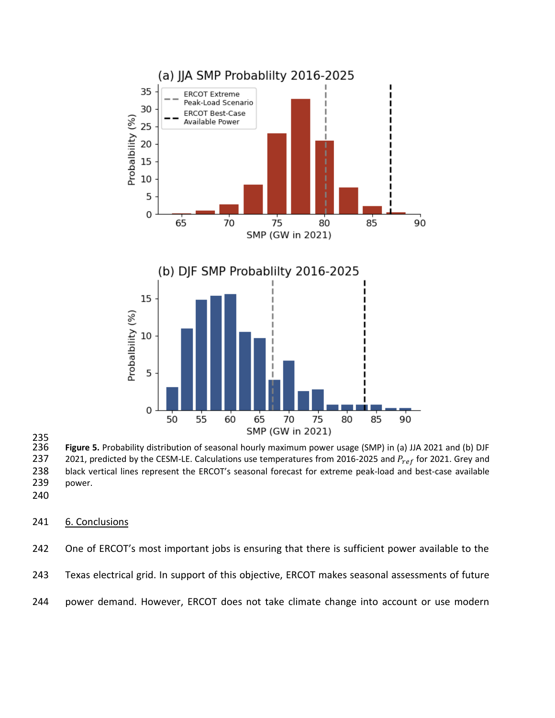

235<br>236

236 **Figure 5.** Probability distribution of seasonal hourly maximum power usage (SMP) in (a) JJA 2021 and (b) DJF<br>237 2021, predicted by the CESM-LE. Calculations use temperatures from 2016-2025 and P<sub>ref</sub> for 2021. Grey a 2021, predicted by the CESM-LE. Calculations use temperatures from 2016-2025 and  $P_{ref}$  for 2021. Grey and 238 black vertical lines represent the ERCOT's seasonal forecast for extreme peak-load and best-case available 239 power.

# 241 6. Conclusions

242 One of ERCOT's most important jobs is ensuring that there is sufficient power available to the 243 Texas electrical grid. In support of this objective, ERCOT makes seasonal assessments of future

244 power demand. However, ERCOT does not take climate change into account or use modern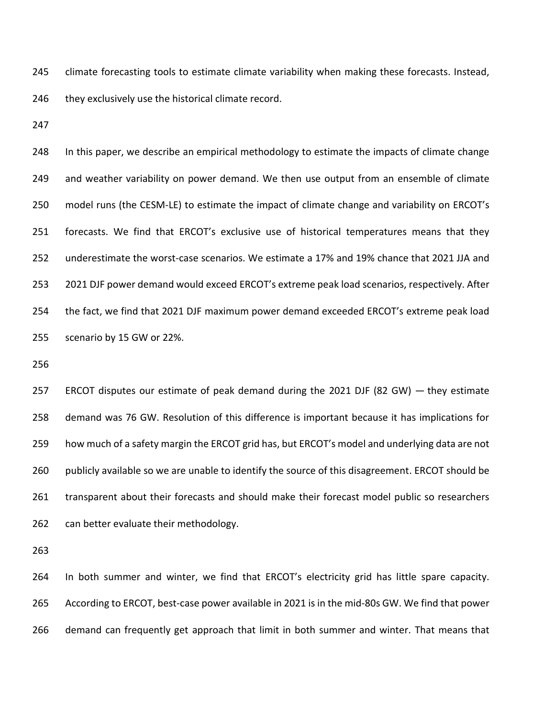245 climate forecasting tools to estimate climate variability when making these forecasts. Instead, 246 they exclusively use the historical climate record.

 In this paper, we describe an empirical methodology to estimate the impacts of climate change and weather variability on power demand. We then use output from an ensemble of climate model runs (the CESM-LE) to estimate the impact of climate change and variability on ERCOT's forecasts. We find that ERCOT's exclusive use of historical temperatures means that they underestimate the worst-case scenarios. We estimate a 17% and 19% chance that 2021 JJA and 2021 DJF power demand would exceed ERCOT's extreme peak load scenarios, respectively. After the fact, we find that 2021 DJF maximum power demand exceeded ERCOT's extreme peak load scenario by 15 GW or 22%.

 ERCOT disputes our estimate of peak demand during the 2021 DJF (82 GW) — they estimate demand was 76 GW. Resolution of this difference is important because it has implications for how much of a safety margin the ERCOT grid has, but ERCOT's model and underlying data are not 260 publicly available so we are unable to identify the source of this disagreement. ERCOT should be transparent about their forecasts and should make their forecast model public so researchers 262 can better evaluate their methodology.

 In both summer and winter, we find that ERCOT's electricity grid has little spare capacity. According to ERCOT, best-case power available in 2021 is in the mid-80s GW. We find that power demand can frequently get approach that limit in both summer and winter. That means that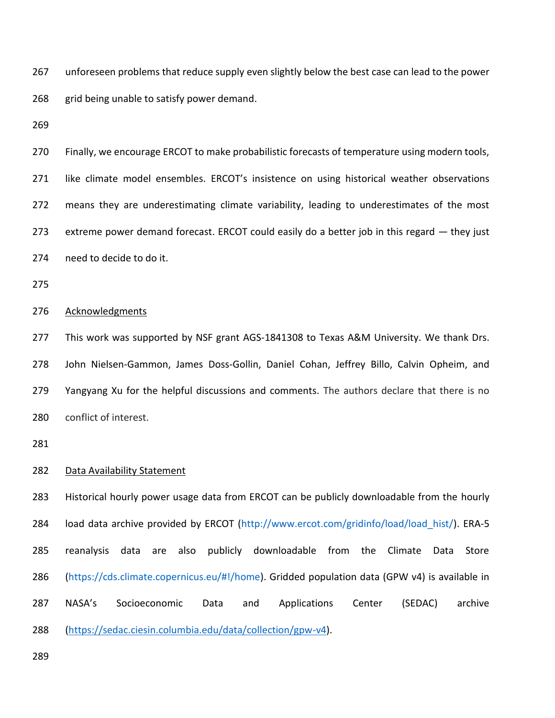unforeseen problems that reduce supply even slightly below the best case can lead to the power 268 grid being unable to satisfy power demand.

 Finally, we encourage ERCOT to make probabilistic forecasts of temperature using modern tools, 271 like climate model ensembles. ERCOT's insistence on using historical weather observations means they are underestimating climate variability, leading to underestimates of the most extreme power demand forecast. ERCOT could easily do a better job in this regard — they just need to decide to do it.

# Acknowledgments

 This work was supported by NSF grant AGS-1841308 to Texas A&M University. We thank Drs. John Nielsen-Gammon, James Doss-Gollin, Daniel Cohan, Jeffrey Billo, Calvin Opheim, and 279 Yangyang Xu for the helpful discussions and comments. The authors declare that there is no conflict of interest.

### Data Availability Statement

 Historical hourly power usage data from ERCOT can be publicly downloadable from the hourly 284 load data archive provided by ERCOT (http://www.ercot.com/gridinfo/load/load hist/). ERA-5 reanalysis data are also publicly downloadable from the Climate Data Store [\(https://cds.climate.copernicus.eu/#!/home\)](https://cds.climate.copernicus.eu/#!/home). Gridded population data (GPW v4) is available in NASA's Socioeconomic Data and Applications Center (SEDAC) archive [\(https://sedac.ciesin.columbia.edu/data/collection/gpw-v4\)](https://sedac.ciesin.columbia.edu/data/collection/gpw-v4).